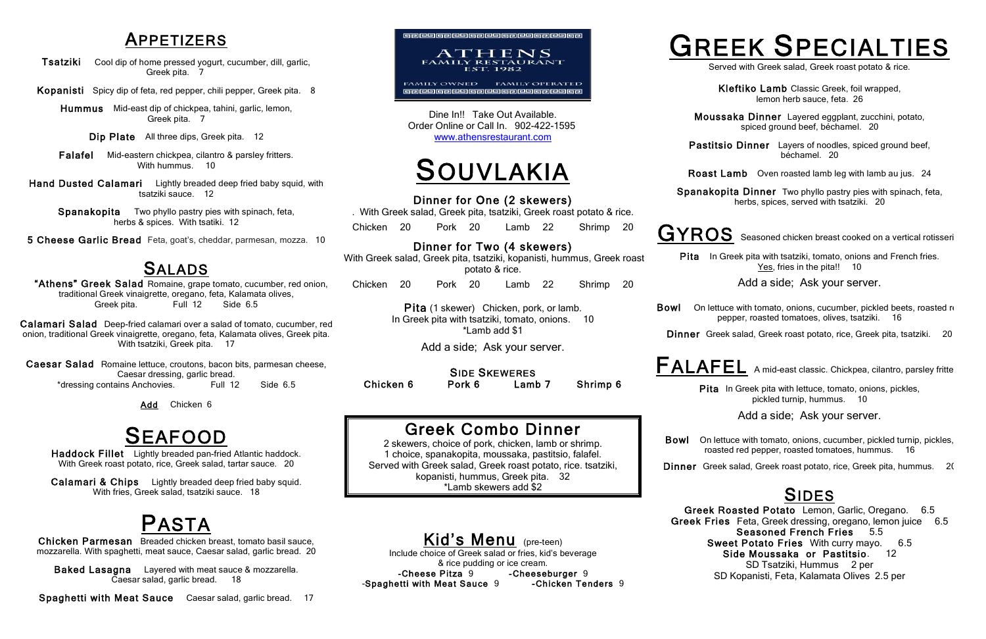## APPETIZERS

Tsatziki Cool dip of home pressed yogurt, cucumber, dill, garlic, Greek pita. 7

Hummus Mid-east dip of chickpea, tahini, garlic, lemon, Greek pita. 7

Kopanisti Spicy dip of feta, red pepper, chili pepper, Greek pita. 8

Hand Dusted Calamari Lightly breaded deep fried baby squid, with tsatziki sauce. 12

Dip Plate All three dips, Greek pita. 12

Falafel Mid-eastern chickpea, cilantro & parsley fritters. With hummus. 10

**SALADS**<br>
"Athens" Greek Salad Romaine, grape tomato, cucumber, red onion, traditional Greek vinaigrette, oregano, feta, Kalamata olives, Greek pita. Full 12 Side 6.5

Calamari Salad Deep-fried calamari over a salad of tomato, cucumber, red onion, traditional Greek vinaigrette, oregano, feta, Kalamata olives, Greek pita. With tsatziki, Greek pita. 17

Caesar Salad Romaine lettuce, croutons, bacon bits, parmesan cheese, Caesar dressing, garlic bread. \*dressing contains Anchovies. Full 12 Side 6.5

Spanakopita Two phyllo pastry pies with spinach, feta, herbs & spices. With tsatiki. 12

5 Cheese Garlic Bread Feta, goat's, cheddar, parmesan, mozza. 10

Chicken Parmesan Breaded chicken breast, tomato basil sauce, mozzarella. With spaghetti, meat sauce, Caesar salad, garlic bread. 20

Baked Lasagna Layered with meat sauce & mozzarella. Caesar salad, garlic bread. 18

SIDE SKEWERES Chicken 6 Pork 6 Lamb 7 Shrimp 6

## Greek Combo Dinner<br>2 skewers, choice of pork, chicken, lamb or shrimp.

Add Chicken 6

SEAFOOD Haddock Fillet Lightly breaded pan-fried Atlantic haddock. With Greek roast potato, rice, Greek salad, tartar sauce. 20

Calamari & Chips Lightly breaded deep fried baby squid. With fries, Greek salad, tsatziki sauce. 18

 Kid's Menu (pre-teen) Include choice of Greek salad or fries, kid's beverage & rice pudding or ice cream. -Cheese Pitza 9 - Cheeseburger 9 -Spaghetti with Meat Sauce 9 - Chicken Tenders 9

Spaghetti with Meat Sauce Caesar salad, garlic bread. 17



Dine In!! Take Out Available. Order Online or Call In. 902-422-1595 www.athensrestaurant.com

> Bowl On lettuce with tomato, onions, cucumber, pickled beets, roasted red pepper, roasted tomatoes, olives, tsatziki. 16



Dinner for One (2 skewers)

. With Greek salad, Greek pita, tsatziki, Greek roast potato & rice.

Pita In Greek pita with lettuce, tomato, onions, pickles, pickled turnip, hummus. 10

Chicken 20 Pork 20 Lamb 22 Shrimp 20

Dinner for Two (4 skewers)

 With Greek salad, Greek pita, tsatziki, kopanisti, hummus, Greek roast potato & rice.

Chicken 20 Pork 20 Lamb 22 Shrimp 20

SIDES<br>Greek Roasted Potato Lemon, Garlic, Oregano. 6.5 Greek Fries Feta, Greek dressing, oregano, lemon juice 6.5 Seasoned French Fries 5.5 Sweet Potato Fries With curry mayo. 6.5 Side Moussaka or Pastitsio. 12 SD Tsatziki, Hummus 2 per SD Kopanisti, Feta, Kalamata Olives 2.5 per

Pita (1 skewer) Chicken, pork, or lamb. In Greek pita with tsatziki, tomato, onions. 10 \*Lamb add \$1

Add a side; Ask your server.

1 choice, spanakopita, moussaka, pastitsio, falafel. Served with Greek salad, Greek roast potato, rice. tsatziki, kopanisti, hummus, Greek pita. 32 \*Lamb skewers add \$2

Kleftiko Lamb Classic Greek, foil wrapped, lemon herb sauce, feta. 26

- Moussaka Dinner Layered eggplant, zucchini, potato, spiced ground beef, béchamel. 20
- Pastitsio Dinner Layers of noodles, spiced ground beef, béchamel. 20

GYROS Seasoned chicken breast cooked on a vertical rotisseri

Pita In Greek pita with tsatziki, tomato, onions and French fries. Yes, fries in the pita!! 10

Roast Lamb Oven roasted lamb leg with lamb au jus. 24

Spanakopita Dinner Two phyllo pastry pies with spinach, feta, herbs, spices, served with tsatziki. 20

# GREEK SPECIALTIES

Add a side; Ask your server.

Dinner Greek salad, Greek roast potato, rice, Greek pita, tsatziki. 20

FALAFEL A mid-east classic. Chickpea, cilantro, parsley fritte

Add a side; Ask your server.

Dinner Greek salad, Greek roast potato, rice, Greek pita, hummus. 20

Bowl On lettuce with tomato, onions, cucumber, pickled turnip, pickles, roasted red pepper, roasted tomatoes, hummus. 16